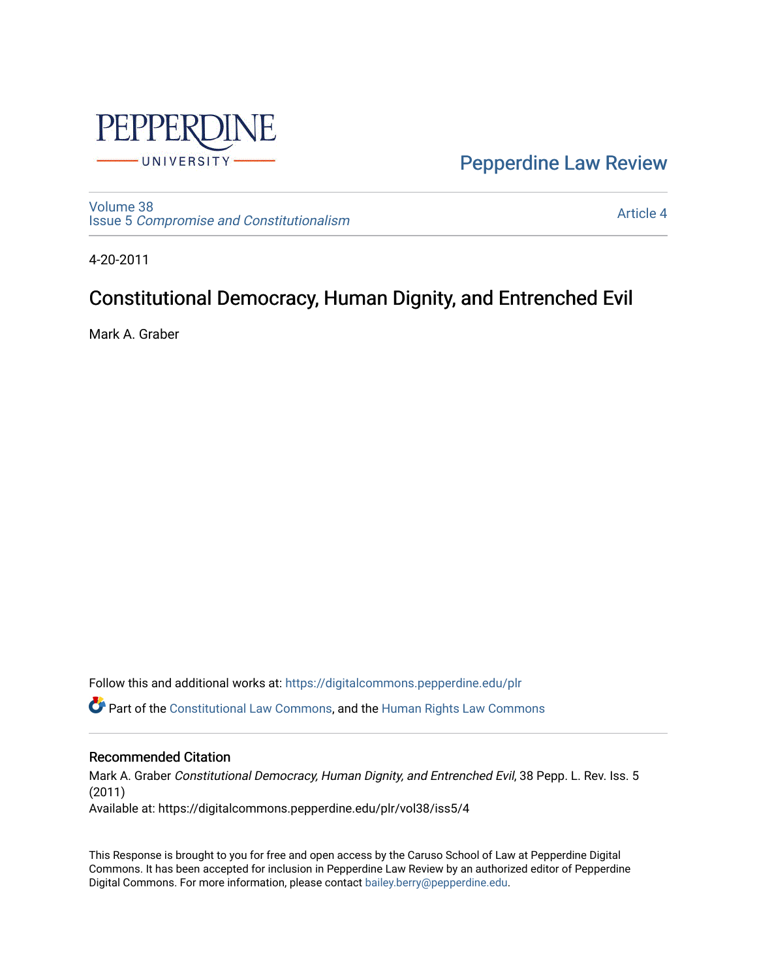

[Pepperdine Law Review](https://digitalcommons.pepperdine.edu/plr) 

[Volume 38](https://digitalcommons.pepperdine.edu/plr/vol38) Issue 5 [Compromise and Constitutionalism](https://digitalcommons.pepperdine.edu/plr/vol38/iss5) 

[Article 4](https://digitalcommons.pepperdine.edu/plr/vol38/iss5/4) 

4-20-2011

# Constitutional Democracy, Human Dignity, and Entrenched Evil

Mark A. Graber

Follow this and additional works at: [https://digitalcommons.pepperdine.edu/plr](https://digitalcommons.pepperdine.edu/plr?utm_source=digitalcommons.pepperdine.edu%2Fplr%2Fvol38%2Fiss5%2F4&utm_medium=PDF&utm_campaign=PDFCoverPages)

Part of the [Constitutional Law Commons,](http://network.bepress.com/hgg/discipline/589?utm_source=digitalcommons.pepperdine.edu%2Fplr%2Fvol38%2Fiss5%2F4&utm_medium=PDF&utm_campaign=PDFCoverPages) and the [Human Rights Law Commons](http://network.bepress.com/hgg/discipline/847?utm_source=digitalcommons.pepperdine.edu%2Fplr%2Fvol38%2Fiss5%2F4&utm_medium=PDF&utm_campaign=PDFCoverPages)

# Recommended Citation

Mark A. Graber Constitutional Democracy, Human Dignity, and Entrenched Evil, 38 Pepp. L. Rev. Iss. 5 (2011) Available at: https://digitalcommons.pepperdine.edu/plr/vol38/iss5/4

This Response is brought to you for free and open access by the Caruso School of Law at Pepperdine Digital Commons. It has been accepted for inclusion in Pepperdine Law Review by an authorized editor of Pepperdine Digital Commons. For more information, please contact [bailey.berry@pepperdine.edu.](mailto:bailey.berry@pepperdine.edu)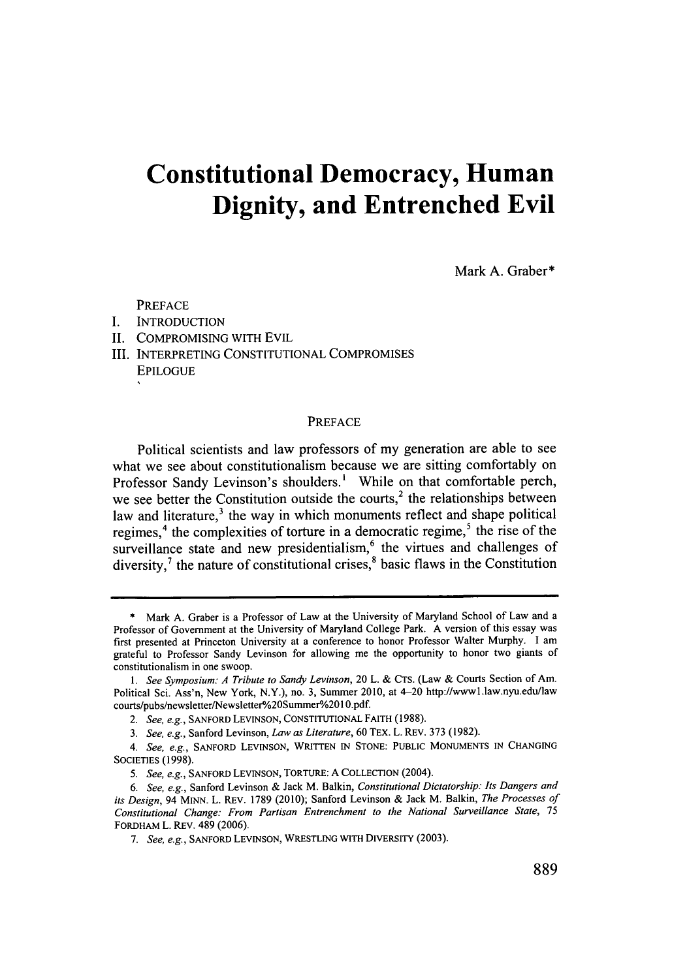# **Constitutional Democracy, Human Dignity, and Entrenched Evil**

Mark **A.** Graber\*

PREFACE

- **I. INTRODUCTION**
- **II. COMPROMISING** WITH EVIL
- III. INTERPRETING **CONSTITUTIONAL** COMPROMISES **EPILOGUE**

#### PREFACE

Political scientists and law professors of my generation are able to see what we see about constitutionalism because we are sitting comfortably on Professor Sandy Levinson's shoulders.' While on that comfortable perch, we see better the Constitution outside the courts, $2$  the relationships between law and literature,<sup>3</sup> the way in which monuments reflect and shape political regimes,<sup>4</sup> the complexities of torture in a democratic regime,<sup>5</sup> the rise of the surveillance state and new presidentialism, $<sup>6</sup>$  the virtues and challenges of</sup> diversity, $\lambda$  the nature of constitutional crises,<sup>8</sup> basic flaws in the Constitution

**<sup>\*</sup>** Mark **A.** Graber is a Professor of Law at the University of Maryland School of Law and a Professor of Government at the University of Maryland College Park. **A** version of this essay was first presented at Princeton University at a conference to honor Professor Walter Murphy. **I** am grateful to Professor Sandy Levinson for allowing me the opportunity to honor two giants of constitutionalism in one swoop.

*<sup>1.</sup>* See Symposium: **A** Tribute *to Sandy Levinson,* 20 L. **& CTS.** (Law **&** Courts Section of *Am.* Political Sci. Ass'n, New York, N.Y.), no. **3,** Summer 2010, at 4-20 http://wwwl.law.nyu.edu/law courts/pubs/newsletter/Newsletter/o20Summer/o2O **0.pdf.**

*<sup>2.</sup> See, e.g.,* **SANFORD LEVINSON, CONSTITUTIONAL** FAITH **(1988).**

*<sup>3.</sup> See, e.g.,* Sanford Levinson, *Law as Literature,* **60** TEX. L. REV. **373 (1982).**

*<sup>4.</sup> See, e.g.,* **SANFORD LEVINSON,** WRITTEN **IN STONE: PUBLIC MONUMENTS IN CHANGING** SOcIETIES **(1998).**

*<sup>5.</sup> See, e.g.,* SANFORD **LEVINSON,** TORTURE: **A COLLECTION** (2004).

*<sup>6.</sup> See, e.g.,* Sanford Levinson **&** Jack M. Balkin, *Constitutional Dictatorship: Its Dangers and its Design, 94* MINN. L. REV. **1789** (2010); Sanford Levinson **&** Jack M. Balkin, *The Processes of Constitutional Change: From Partisan Entrenchment to the National Surveillance State, <sup>75</sup>* FORDHAM L. REV. 489 **(2006).**

*<sup>7.</sup> See, e.g.,* **SANFORD LEVINSON,** WRESTLING WITH DIVERSITY **(2003).**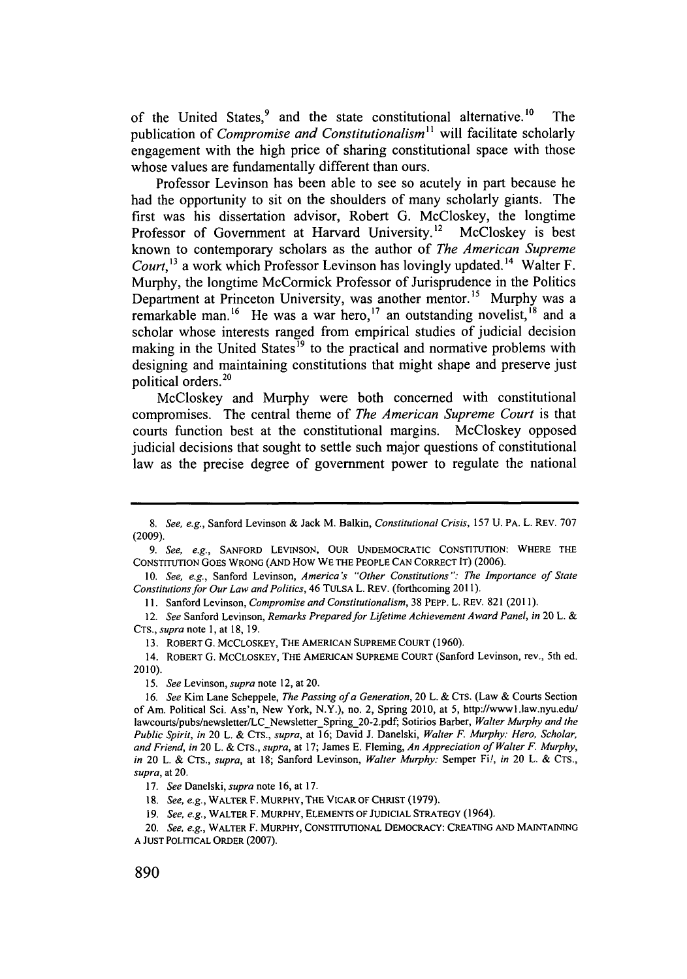of the United States,<sup>9</sup> and the state constitutional alternative.<sup>10</sup> The publication of *Compromise and Constitutionalism"* will facilitate scholarly engagement with the high price of sharing constitutional space with those whose values are fundamentally different than ours.

Professor Levinson has been able to see so acutely in part because he had the opportunity to sit on the shoulders of many scholarly giants. The first was his dissertation advisor, Robert **G.** McCloskey, the longtime Professor of Government at Harvard University.<sup>12</sup> McCloskey is best known to contemporary scholars as the author of *The American Supreme Court*,<sup>13</sup> a work which Professor Levinson has lovingly updated.<sup>14</sup> Walter F. Murphy, the longtime McCormick Professor of Jurisprudence in the Politics Department at Princeton University, was another mentor.<sup>15</sup> Murphy was a remarkable man.<sup>16</sup> He was a war hero,<sup>17</sup> an outstanding novelist,<sup>18</sup> and a scholar whose interests ranged from empirical studies of judicial decision making in the United States<sup>19</sup> to the practical and normative problems with designing and maintaining constitutions that might shape and preserve just political orders.<sup>20</sup>

McCloskey and Murphy were both concerned with constitutional compromises. The central theme of *The American Supreme Court* is that courts function best at the constitutional margins. McCloskey opposed judicial decisions that sought to settle such major questions of constitutional law as the precise degree of government power to regulate the national

**I1. Sanford Levinson,** *Compromise and Constitutionalism,* **38 PEPP. L. REV. 821 (2011).**

**13. ROBERT G. MCCLOSKEY, THE AMERICAN SUPREME COURT (1960).**

*15. See Levinson, supra* **note 12, at 20.**

*<sup>8.</sup> See, e.g.,* Sanford Levinson **&** Jack M. Balkin, *Constitutional Crisis,* **157 U. PA. L. REV. 707 (2009).**

*<sup>9.</sup> See, e.g.,* **SANFORD LEVINSON, OUR UNDEMOCRATIC CONSTITUTION: WHERE THE CONSTITUTION GOES WRONG (AND How WE THE PEOPLE CAN CORRECT IT) (2006).**

*<sup>10.</sup> See, e.g.,* **Sanford Levinson,** *America's "Other Constitutions": The Importance of State Constitutions for Our Law and Politics,* **46 TULSA L. REV. (forthcoming 2011).**

*<sup>12.</sup> See* Sanford Levinson, *Remarks Prepared for Lifetime Achievement Award Panel, in* **20 L. &** *CTS., supra note* **1, at 18, 19.**

**<sup>14.</sup> ROBERT G. MCCLOSKEY, THE AMERICAN SUPREME COURT (Sanford** Levinson, rev., 5th ed. **2010).**

*<sup>16.</sup> See* Kim Lane Scheppele, *The Passing ofa Generation,* **20 L. & CTS.** (Law **&** Courts Section of **Am. Political Sci. Ass'n, New York, N.Y.), no. 2, Spring 2010,** at **5,** http://wwwl.law.nyu.edu/ lawcourts/pubs/newsletter/LC Newsletter Spring 20-2.pdf; Sotirios Barber, *Walter Murphy and the Public Spirit, in* **20 L. &** *CTS., supra,* at **16;** David **J.** Danelski, *Walter F. Murphy: Hero, Scholar, and Friend, in* **20 L. &** *CTS., supra,* at **17;** James **E.** Fleming, *An Appreciation of Walter F. Murphy, in* **20 L.** *& CTS., supra,* **at 18;** Sanford Levinson, *Walter Murphy:* Semper Fi!, *in* **20 L. & CTS.,** *supra,* **at 20.**

*<sup>17.</sup> See Danelski, supra* **note 16, at 17.**

**<sup>18.</sup>** *See, e.g.,* **WALTER F. MURPHY, THE VICAR OF CHRIST (1979).**

*<sup>19.</sup> See, e.g.,* **WALTER F. MURPHY, ELEMENTS OF JUDICIAL STRATEGY (1964).**

*<sup>20.</sup> See, e.g.,* **WALTER F. MURPHY, CONSTITUTIONAL DEMOCRACY: CREATING AND MAINTAINING A JUST POLITICAL ORDER (2007).**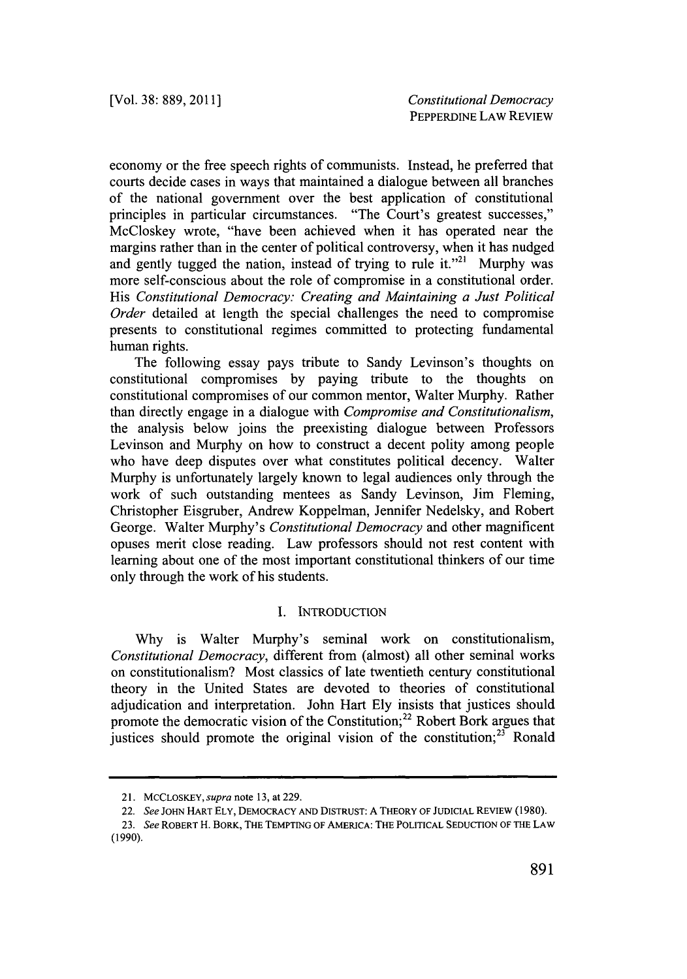economy or the free speech rights of communists. Instead, he preferred that courts decide cases in ways that maintained a dialogue between all branches of the national government over the best application of constitutional principles in particular circumstances. "The Court's greatest successes," McCloskey wrote, "have been achieved when it has operated near the margins rather than in the center of political controversy, when it has nudged and gently tugged the nation, instead of trying to rule it."<sup>21</sup> Murphy was more self-conscious about the role of compromise in a constitutional order. *His Constitutional Democracy: Creating and Maintaining a Just Political Order* detailed at length the special challenges the need to compromise presents to constitutional regimes committed to protecting fundamental human rights.

The following essay pays tribute to Sandy Levinson's thoughts on constitutional compromises **by** paying tribute to the thoughts on constitutional compromises of our common mentor, Walter Murphy. Rather than directly engage in a dialogue with *Compromise and Constitutionalism,* the analysis below joins the preexisting dialogue between Professors Levinson and Murphy on how to construct a decent polity among people who have deep disputes over what constitutes political decency. Walter Murphy is unfortunately largely known to legal audiences only through the work of such outstanding mentees as Sandy Levinson, Jim Fleming, Christopher Eisgruber, Andrew Koppelman, Jennifer Nedelsky, and Robert George. Walter Murphy's *Constitutional Democracy* and other magnificent opuses merit close reading. Law professors should not rest content with learning about one of the most important constitutional thinkers of our time only through the work of his students.

# **I. INTRODUCTION**

**Why** is Walter Murphy's seminal work on constitutionalism, *Constitutional Democracy,* different from (almost) all other seminal works on constitutionalism? Most classics of late twentieth century constitutional theory in the United States are devoted to theories of constitutional adjudication and interpretation. John Hart **Ely** insists that justices should promote the democratic vision of the Constitution; $^{22}$  Robert Bork argues that justices should promote the original vision of the constitution; $^{23}$  Ronald

**<sup>21.</sup> MCCLOSKEY,** *supra* **note 13, at** 229.

<sup>22.</sup> *See* **JOHN HART ELY, DEMOCRACY AND DISTRUST: A THEORY OF JUDICIAL REVIEW (1980).**

*<sup>23.</sup> See* **ROBERT H. BORK, THE TEMPTING OF AMERICA: THE POLITICAL SEDUCTION OF THE LAW (1990).**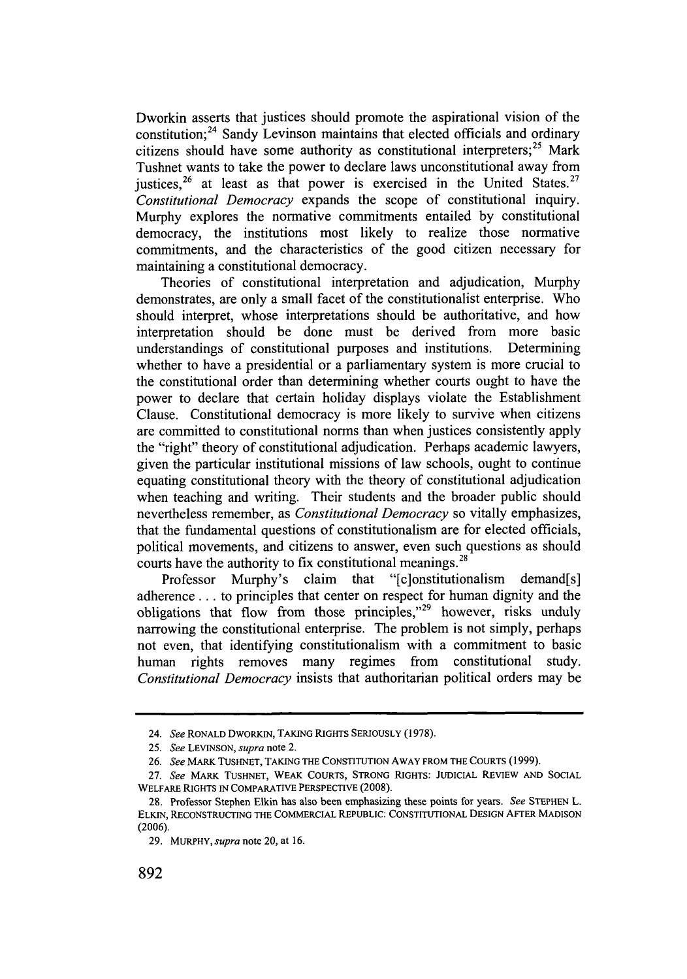Dworkin asserts that justices should promote the aspirational vision of the constitution;<sup>24</sup> Sandy Levinson maintains that elected officials and ordinary citizens should have some authority as constitutional interpreters;<sup>25</sup> Mark Tushnet wants to take the power to declare laws unconstitutional away from justices,<sup>26</sup> at least as that power is exercised in the United States.<sup>27</sup> *Constitutional Democracy* expands the scope of constitutional inquiry. Murphy explores the normative commitments entailed **by** constitutional democracy, the institutions most likely to realize those normative commitments, and the characteristics of the good citizen necessary for maintaining a constitutional democracy.

Theories of constitutional interpretation and adjudication, Murphy demonstrates, are only a small facet of the constitutionalist enterprise. Who should interpret, whose interpretations should be authoritative, and how interpretation should be done must be derived from more basic understandings of constitutional purposes and institutions. Determining whether to have a presidential or a parliamentary system is more crucial to the constitutional order than determining whether courts ought to have the power to declare that certain holiday displays violate the Establishment Clause. Constitutional democracy is more likely to survive when citizens are committed to constitutional norms than when justices consistently apply the "right" theory of constitutional adjudication. Perhaps academic lawyers, given the particular institutional missions of law schools, ought to continue equating constitutional theory with the theory of constitutional adjudication when teaching and writing. Their students and the broader public should nevertheless remember, as *Constitutional Democracy* so vitally emphasizes, that the fundamental questions of constitutionalism are for elected officials, political movements, and citizens to answer, even such questions as should courts have the authority to fix constitutional meanings.<sup>28</sup>

Professor Murphy's claim that "[clonstitutionalism demand[s] adherence **...** to principles that center on respect for human dignity and the obligations that flow from those principles,"<sup>29</sup> however, risks unduly narrowing the constitutional enterprise. The problem is not simply, perhaps not even, that identifying constitutionalism with a commitment to basic human rights removes many regimes from constitutional study. *Constitutional Democracy* insists that authoritarian political orders may be

<sup>24.</sup> *See* **RONALD DWORKIN, TAKING RIGHTS SERIOUSLY (1978).**

**<sup>25.</sup>** *See LEVINSON, supra* note 2.

*<sup>26.</sup> See* **MARK TUSHNET, TAKING THE CONSTITUTION AWAY FROM THE COURTS (1999).**

**<sup>27.</sup>** *See* **MARK TUSHNET, WEAK COURTS, STRONG RIGHTS: JUDICIAL REVIEW AND SOCIAL WELFARE RIGHTS IN COMPARATIVE PERSPECTIVE (2008).**

**<sup>28.</sup>** Professor Stephen Elkin has also been emphasizing these points for years. *See* **STEPHEN L. ELKIN, RECONSTRUCTING THE COMMERCIAL REPUBLIC: CONSTITUTIONAL DESIGN AFTER MADISON (2006).**

**<sup>29.</sup> MURPHY,** *supra* note 20, at **16.**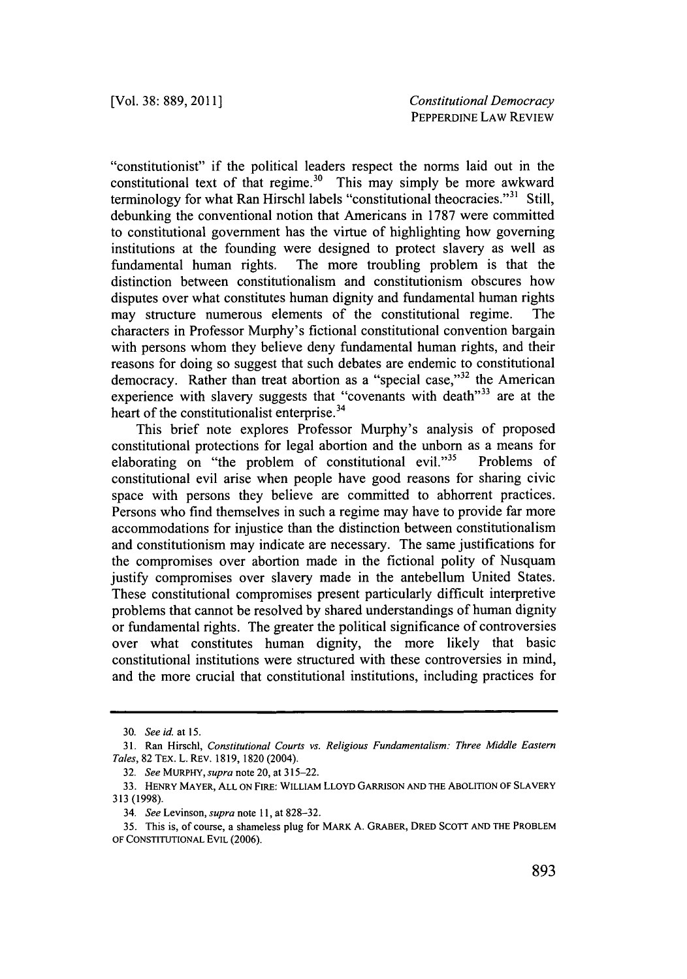"constitutionist" if the political leaders respect the norms laid out in the constitutional text of that regime.<sup>30</sup> This may simply be more awkward terminology for what Ran Hirschl labels "constitutional theocracies."<sup>31</sup> Still, debunking the conventional notion that Americans in **1787** were committed to constitutional government has the virtue of highlighting how governing institutions at the founding were designed to protect slavery as well as fundamental human rights. The more troubling problem is that the distinction between constitutionalism and constitutionism obscures how disputes over what constitutes human dignity and fundamental human rights may structure numerous elements of the constitutional regime. The characters in Professor Murphy's fictional constitutional convention bargain with persons whom they believe deny fundamental human rights, and their reasons for doing so suggest that such debates are endemic to constitutional democracy. Rather than treat abortion as a "special case,"<sup>32</sup> the American experience with slavery suggests that "covenants with death"<sup>33</sup> are at the heart of the constitutionalist enterprise.<sup>34</sup>

This brief note explores Professor Murphy's analysis of proposed constitutional protections for legal abortion and the unborn as a means for elaborating on "the problem of constitutional evil."<sup>35</sup> Problems of constitutional evil arise when people have good reasons for sharing civic space with persons they believe are committed to abhorrent practices. Persons who find themselves in such a regime may have to provide far more accommodations for injustice than the distinction between constitutionalism and constitutionism may indicate are necessary. The same justifications for the compromises over abortion made in the fictional polity of Nusquam justify compromises over slavery made in the antebellum United States. These constitutional compromises present particularly difficult interpretive problems that cannot be resolved **by** shared understandings of human dignity or fundamental rights. The greater the political significance of controversies over what constitutes human dignity, the more likely that basic constitutional institutions were structured with these controversies in mind, and the more crucial that constitutional institutions, including practices for

*<sup>30.</sup> See id. at* **15.**

**<sup>31.</sup> Ran Hirschl,** *Constitutional Courts vs. Religious Fundamentalism: Three Middle Eastern Tales,* **82 TEx. L. REv. 1819, 1820 (2004).**

*<sup>32.</sup> See MURPHY, supra* **note 20, at 315-22.**

**<sup>33.</sup> HENRY MAYER, ALL ON FIRE: WILLIAM LLOYD GARRISON AND THE ABOLITION OF SLAVERY 313 (1998).**

*<sup>34.</sup> See Levinson, supra note* **i1, at 828-32.**

<sup>35.</sup> This is, of course, a shameless plug for MARK A. GRABER, DRED SCOTT AND THE PROBLEM **OF CONSTITUTIONAL EVIL (2006).**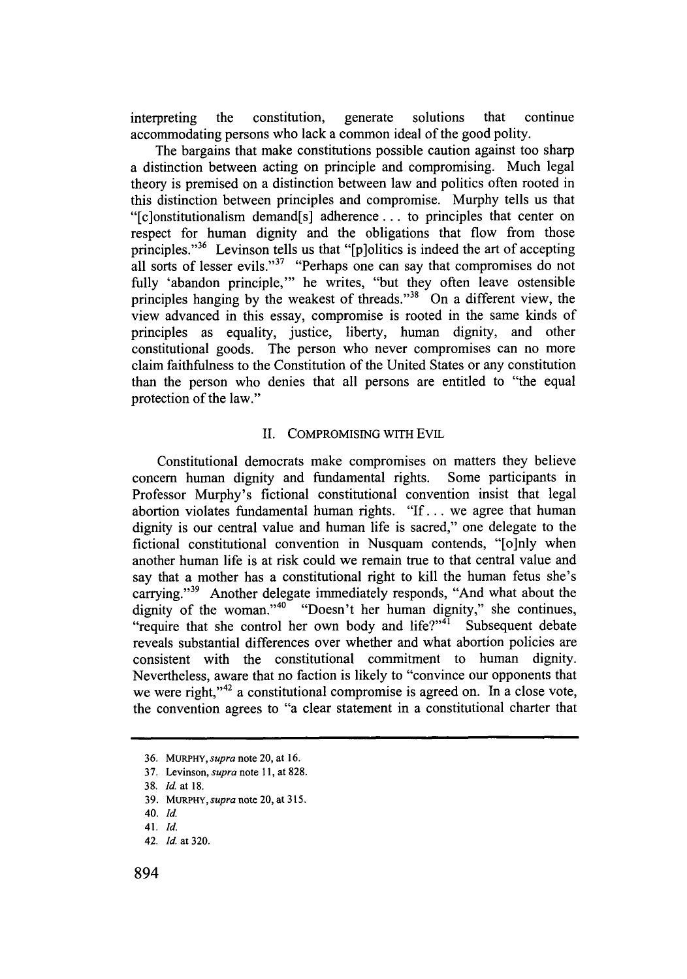interpreting the constitution, generate solutions that continue accommodating persons who lack a common ideal of the good polity.

The bargains that make constitutions possible caution against too sharp a distinction between acting on principle and compromising. Much legal theory is premised on a distinction between law and politics often rooted in this distinction between principles and compromise. Murphy tells us that "[c]onstitutionalism demand[s] adherence **...** to principles that center on respect for human dignity and the obligations that flow from those principles."<sup>36</sup> Levinson tells us that "[p]olitics is indeed the art of accepting all sorts of lesser evils."<sup>37</sup> "Perhaps one can say that compromises do not fully 'abandon principle,"' he writes, "but they often leave ostensible principles hanging **by** the weakest of threads."38 On a different view, the view advanced in this essay, compromise is rooted in the same kinds of principles as equality, justice, liberty, human dignity, and other constitutional goods. The person who never compromises can no more claim faithfulness to the Constitution of the United States or any constitution than the person who denies that all persons are entitled to "the equal protection of the law."

#### **II. COMPROMISING WITH EVIL**

Constitutional democrats make compromises on matters they believe concern human dignity and fundamental rights. Some participants in Professor Murphy's fictional constitutional convention insist that legal abortion violates fundamental human rights. **"If...** we agree that human dignity is our central value and human life is sacred," one delegate to the fictional constitutional convention in Nusquam contends, "[o]nly when another human life is at risk could we remain true to that central value and say that a mother has a constitutional right to kill the human fetus she's carrying."<sup>39</sup> Another delegate immediately responds, "And what about the dignity of the woman."<sup>40</sup> "Doesn't her human dignity," she continues, "require that she control her own body and life?" $\overline{1}$  Subsequent debate reveals substantial differences over whether and what abortion policies are consistent with the constitutional commitment to human dignity. Nevertheless, aware that no faction is likely to "convince our opponents that we were right,"<sup>42</sup> a constitutional compromise is agreed on. In a close vote, the convention agrees to "a clear statement in a constitutional charter that

**<sup>36.</sup> MURPHY,** *supra* **note 20, at 16.**

**<sup>37.</sup> Levinson,** *supra* **note 11, at 828.**

**<sup>38.</sup>** *Id.* **at 18.**

**<sup>39.</sup> MURPHY,supra note 20, at 315.**

**<sup>40.</sup>** *Id.*

**<sup>41.</sup>** *Id.*

**<sup>42.</sup>** *Id.* **at 320.**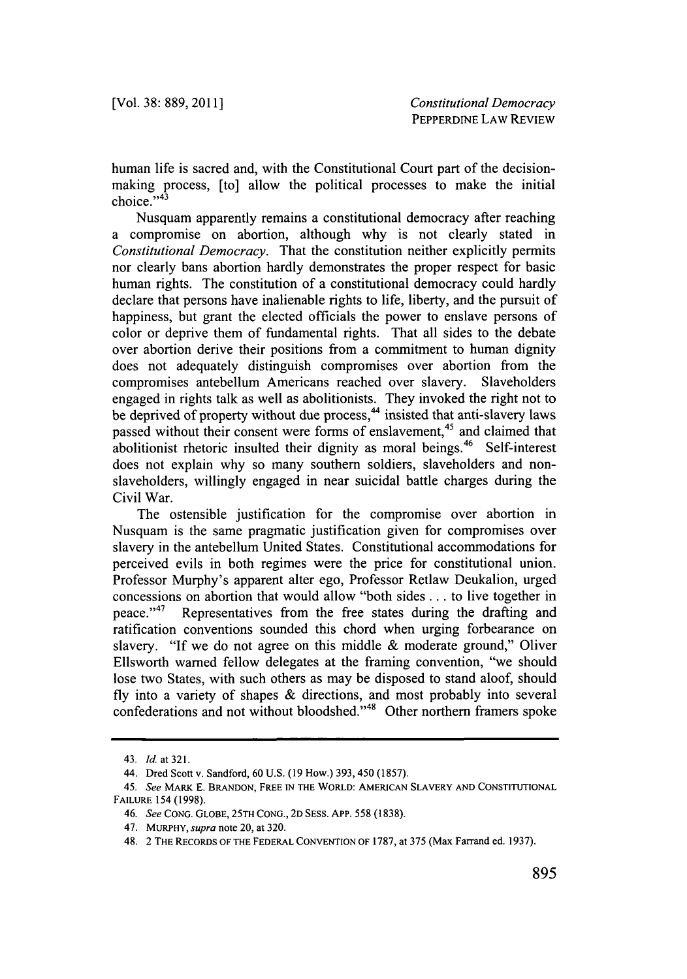human life is sacred and, with the Constitutional Court part of the decisionmaking process, [to] allow the political processes to make the initial choice."<sup>43</sup>

Nusquam apparently remains a constitutional democracy after reaching a compromise on abortion, although why is not clearly stated in *Constitutional Democracy.* That the constitution neither explicitly permits nor clearly bans abortion hardly demonstrates the proper respect for basic human rights. The constitution of a constitutional democracy could hardly declare that persons have inalienable rights to life, liberty, and the pursuit of happiness, but grant the elected officials the power to enslave persons of color or deprive them of fundamental rights. That all sides to the debate over abortion derive their positions from a commitment to human dignity does not adequately distinguish compromises over abortion from the compromises antebellum Americans reached over slavery. Slaveholders engaged in rights talk as well as abolitionists. They invoked the right not to be deprived of property without due process,<sup>44</sup> insisted that anti-slavery laws passed without their consent were forms of enslavement,<sup>45</sup> and claimed that abolitionist rhetoric insulted their dignity as moral beings.<sup>46</sup> Self-interest does not explain why so many southern soldiers, slaveholders and nonslaveholders, willingly engaged in near suicidal battle charges during the Civil War.

The ostensible justification for the compromise over abortion in Nusquam is the same pragmatic justification given for compromises over slavery in the antebellum United States. Constitutional accommodations for perceived evils in both regimes were the price for constitutional union. Professor Murphy's apparent alter ego, Professor Retlaw Deukalion, urged concessions on abortion that would allow "both sides **...** to live together in peace." 47 Representatives from the free states during the drafting and ratification conventions sounded this chord when urging forbearance on slavery. "If we do not agree on this middle **&** moderate ground," Oliver Ellsworth warned fellow delegates at the framing convention, "we should lose two States, with such others as may be disposed to stand aloof, should **fly** into a variety of shapes **&** directions, and most probably into several confederations and not without bloodshed."<sup>48</sup> Other northern framers spoke

<sup>43.</sup> *Id. at 321.*

<sup>44.</sup> Dred Scott v. Sandford, **60 U.S. (19** How.) **393, 450 (1857).**

*<sup>45.</sup> See* MARK **E. BRANDON, FREE IN THE WORLD: AMERICAN SLAVERY AND CONSTITUTIONAL FAILURE 154 (1998).**

<sup>46.</sup> See **CONG. GLOBE, 25TH CONG., 2D SESS. APP. 558 (1838).**

<sup>47.</sup> **MURPHY,** supra note 20, at **320.**

**<sup>48. 2</sup> THE RECORDS OF THE FEDERAL CONVENTION OF 1787,** at *375* (Max Farrand ed. **1937).**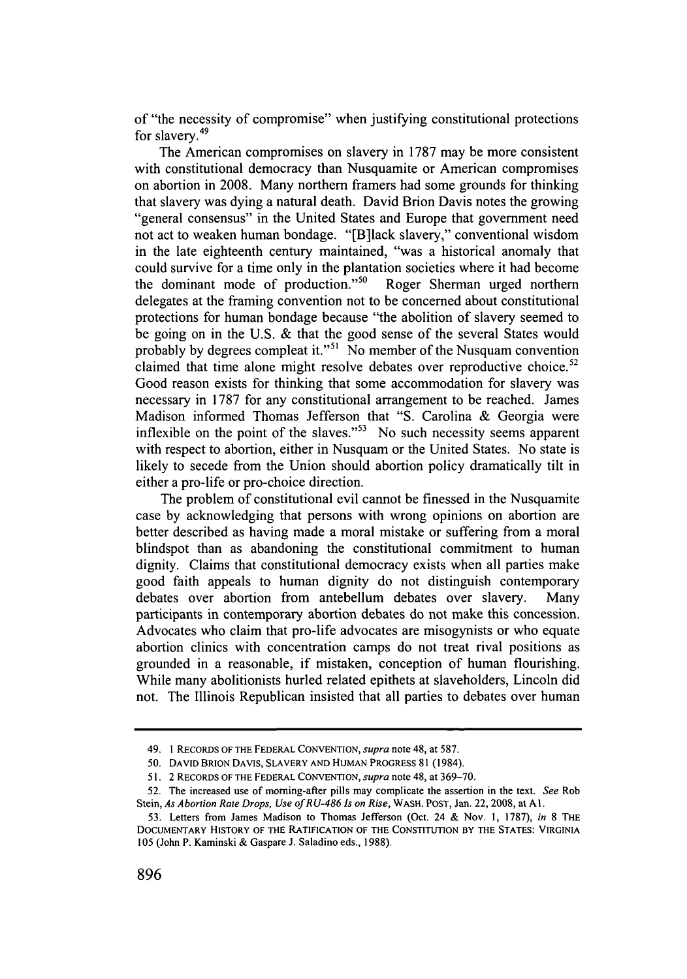of "the necessity of compromise" when justifying constitutional protections for slavery.<sup>49</sup>

The American compromises on slavery in **1787** may be more consistent with constitutional democracy than Nusquamite or American compromises on abortion in **2008.** Many northern framers had some grounds for thinking that slavery was dying a natural death. David Brion Davis notes the growing "general consensus" in the United States and Europe that government need not act to weaken human bondage. "[B]lack slavery," conventional wisdom in the late eighteenth century maintained, "was a historical anomaly that could survive for a time only in the plantation societies where it had become the dominant mode of production."<sup>50</sup> Roger Sherman urged northern delegates at the framing convention not to be concerned about constitutional protections for human bondage because "the abolition of slavery seemed to be going on in the **U.S. &** that the good sense of the several States would probably by degrees compleat it."<sup>51</sup> No member of the Nusquam convention claimed that time alone might resolve debates over reproductive choice.<sup>52</sup> Good reason exists for thinking that some accommodation for slavery was necessary in **1787** for any constitutional arrangement to be reached. James Madison informed Thomas Jefferson that **"S.** Carolina **&** Georgia were inflexible on the point of the slaves."<sup>53</sup> No such necessity seems apparent with respect to abortion, either in Nusquam or the United States. No state is likely to secede from the Union should abortion policy dramatically tilt in either a pro-life or pro-choice direction.

The problem of constitutional evil cannot be finessed in the Nusquamite case **by** acknowledging that persons with wrong opinions on abortion are better described as having made a moral mistake or suffering from a moral blindspot than as abandoning the constitutional commitment to human dignity. Claims that constitutional democracy exists when all parties make good faith appeals to human dignity do not distinguish contemporary debates over abortion from antebellum debates over slavery. Many participants in contemporary abortion debates do not make this concession. Advocates who claim that pro-life advocates are misogynists or who equate abortion clinics with concentration camps do not treat rival positions as grounded in a reasonable, if mistaken, conception of human flourishing. While many abolitionists hurled related epithets at slaveholders, Lincoln did not. The Illinois Republican insisted that all parties to debates over human

<sup>49.</sup> **1 RECORDS OF THE FEDERAL CONVENTION,** *supra* note 48, at **587.**

*<sup>50.</sup>* **DAVID BRION DAVIS, SLAVERY AND HUMAN PROGRESS 81** (1984).

**<sup>51.</sup>** 2 **RECORDS OF THE FEDERAL CONVENTION,** *supra* note 48, at **369-70.**

**<sup>52.</sup>** The increased use of morning-after pills may complicate the assertion in the text. *See* Rob Stein, *As Abortion Rate Drops, Use ofRU-486 Is on Rise,* WASH. **POST,** Jan. 22, 2008, at **Al.**

**<sup>53.</sup>** Letters from James Madison to Thomas Jefferson (Oct. 24 **&** Nov. **1, 1787),** *in* **8** THE **DOCUMENTARY HISTORY OF THE RATIFICATION OF THE CONSTITUTION BY THE STATES: VIRGINIA 105** (John P. Kaminski **&** Gaspare **J.** Saladino eds., **1988).**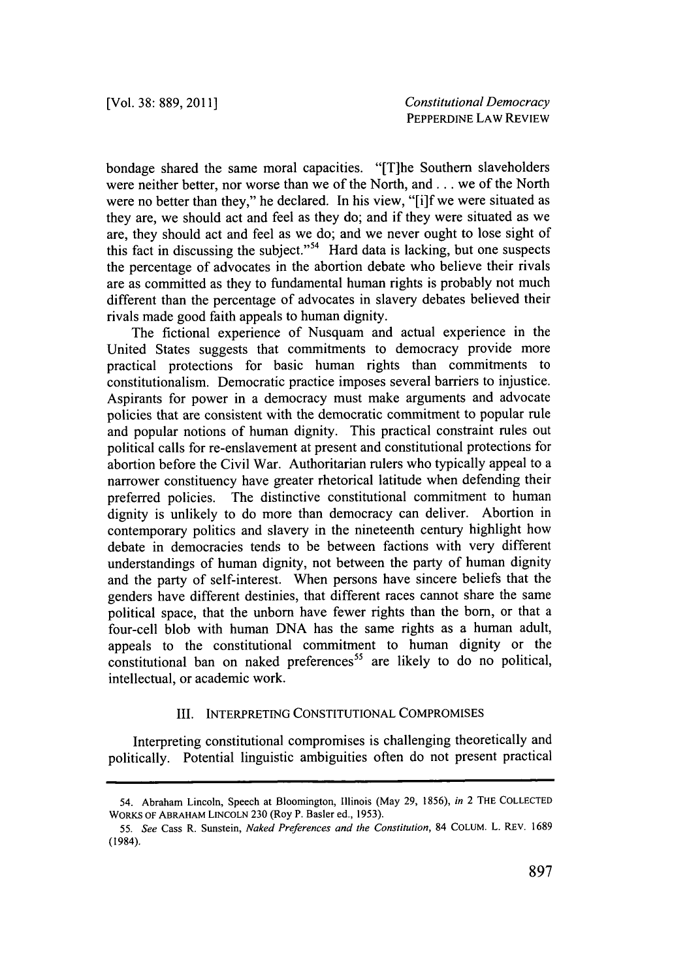bondage shared the same moral capacities. "[T]he Southern slaveholders were neither better, nor worse than we of the North, and **...** we of the North were no better than they," he declared. In his view, "[i]f we were situated as they are, we should act and feel as they do; and if they were situated as we are, they should act and feel as we do; and we never ought to lose sight of this fact in discussing the subject."<sup>54</sup> Hard data is lacking, but one suspects the percentage of advocates in the abortion debate who believe their rivals are as committed as they to fundamental human rights is probably not much different than the percentage of advocates in slavery debates believed their rivals made good faith appeals to human dignity.

The fictional experience of Nusquam and actual experience in the United States suggests that commitments to democracy provide more practical protections for basic human rights than commitments to constitutionalism. Democratic practice imposes several barriers to injustice. Aspirants for power in a democracy must make arguments and advocate policies that are consistent with the democratic commitment to popular rule and popular notions of human dignity. This practical constraint rules out political calls for re-enslavement at present and constitutional protections for abortion before the Civil War. Authoritarian rulers who typically appeal to a narrower constituency have greater rhetorical latitude when defending their preferred policies. The distinctive constitutional commitment to human dignity is unlikely to do more than democracy can deliver. Abortion in contemporary politics and slavery in the nineteenth century highlight how debate in democracies tends to be between factions with very different understandings of human dignity, not between the party of human dignity and the party of self-interest. When persons have sincere beliefs that the genders have different destinies, that different races cannot share the same political space, that the unborn have fewer rights than the born, or that a four-cell blob with human **DNA** has the same rights as a human adult, appeals to the constitutional commitment to human dignity or the constitutional ban on naked preferences<sup>55</sup> are likely to do no political, intellectual, or academic work.

## III. **INTERPRETING CONSTITUTIONAL COMPROMISES**

Interpreting constitutional compromises is challenging theoretically and politically. Potential linguistic ambiguities often do not present practical

<sup>54.</sup> Abraham Lincoln, Speech at Bloomington, Illinois (May **29, 1856),** in 2 THE **COLLECTED** WORKS OF ABRAHAM **LINCOLN 230** (Roy P. Basler ed., **1953).**

*<sup>55.</sup>* See Cass R. Sunstein, Naked *Preferences and the Constitution,* 84 **COLUM.** L. REV. **1689** (1984).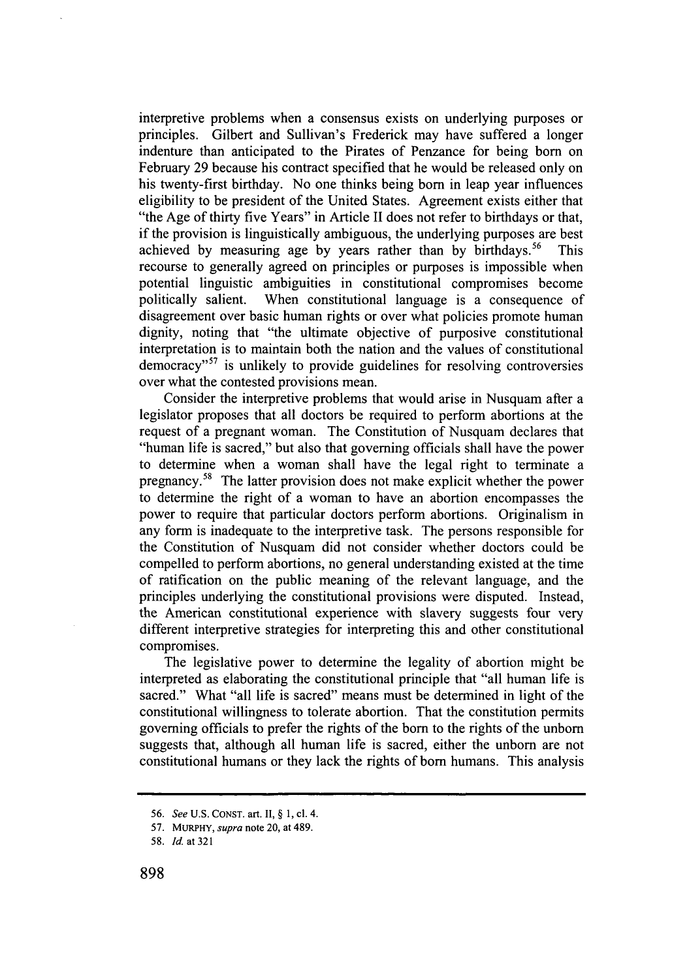interpretive problems when a consensus exists on underlying purposes or principles. Gilbert and Sullivan's Frederick may have suffered a longer indenture than anticipated to the Pirates of Penzance for being born on February **29** because his contract specified that he would be released only on his twenty-first birthday. No one thinks being born in leap year influences eligibility to be president of the United States. Agreement exists either that "the Age of thirty five Years" in Article II does not refer to birthdays or that, if the provision is linguistically ambiguous, the underlying purposes are best achieved by measuring age by years rather than by birthdays.<sup>56</sup> This recourse to generally agreed on principles or purposes is impossible when potential linguistic ambiguities in constitutional compromises become politically salient. When constitutional language is a consequence of disagreement over basic human rights or over what policies promote human dignity, noting that "the ultimate objective of purposive constitutional interpretation is to maintain both the nation and the values of constitutional democracy"<sup>57</sup> is unlikely to provide guidelines for resolving controversies over what the contested provisions mean.

Consider the interpretive problems that would arise in Nusquam after a legislator proposes that all doctors be required to perform abortions at the request of a pregnant woman. The Constitution of Nusquam declares that "human life is sacred," but also that governing officials shall have the power to determine when a woman shall have the legal right to terminate a pregnancy.58 The latter provision does not make explicit whether the power to determine the right of a woman to have an abortion encompasses the power to require that particular doctors perform abortions. Originalism in any form is inadequate to the interpretive task. The persons responsible for the Constitution of Nusquam did not consider whether doctors could be compelled to perform abortions, no general understanding existed at the time of ratification on the public meaning of the relevant language, and the principles underlying the constitutional provisions were disputed. Instead, the American constitutional experience with slavery suggests four very different interpretive strategies for interpreting this and other constitutional compromises.

The legislative power to determine the legality of abortion might be interpreted as elaborating the constitutional principle that "all human life is sacred." What "all life is sacred" means must be determined in light of the constitutional willingness to tolerate abortion. That the constitution permits governing officials to prefer the rights of the born to the rights of the unborn suggests that, although all human life is sacred, either the unborn are not constitutional humans or they lack the rights of born humans. This analysis

**<sup>56.</sup>** *See* **U.S. CONST. art. II, § 1, cl.** 4.

**<sup>57.</sup> MuRPHY,** *supra* **note** 20, *at* 489.

**<sup>58.</sup>** *Id. at 321*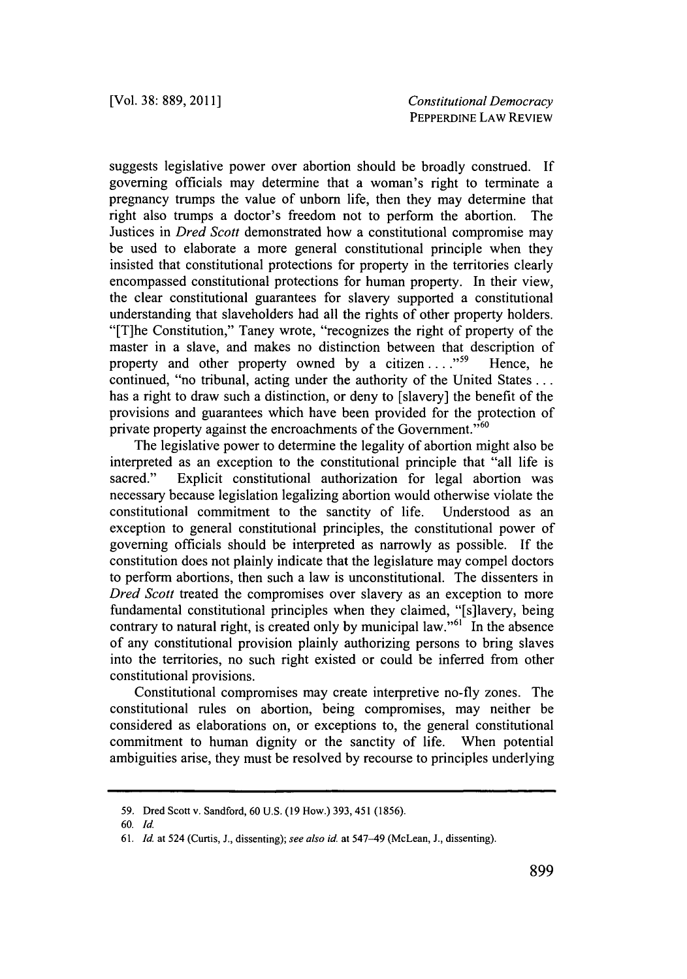suggests legislative power over abortion should be broadly construed. **If** governing officials may determine that a woman's right to terminate a pregnancy trumps the value of unborn life, then they may determine that right also trumps a doctor's freedom not to perform the abortion. The Justices in *Dred Scott* demonstrated how a constitutional compromise may be used to elaborate a more general constitutional principle when they insisted that constitutional protections for property in the territories clearly encompassed constitutional protections for human property. In their view, the clear constitutional guarantees for slavery supported a constitutional understanding that slaveholders had all the rights of other property holders. "[T]he Constitution," Taney wrote, "recognizes the right of property of the master in a slave, and makes no distinction between that description of property and other property owned by a citizen ...."<sup>59</sup> Hence, he continued, "no tribunal, acting under the authority of the United States **...** has a right to draw such a distinction, or deny to [slavery] the benefit of the provisions and guarantees which have been provided for the protection of private property against the encroachments of the Government."<sup>60</sup>

The legislative power to determine the legality of abortion might also be interpreted as an exception to the constitutional principle that "all life is sacred." Explicit constitutional authorization for legal abortion was necessary because legislation legalizing abortion would otherwise violate the constitutional commitment to the sanctity of life. Understood as an exception to general constitutional principles, the constitutional power of governing officials should be interpreted as narrowly as possible. **If** the constitution does not plainly indicate that the legislature may compel doctors to perform abortions, then such a law is unconstitutional. The dissenters in *Dred Scott* treated the compromises over slavery as an exception to more fundamental constitutional principles when they claimed, "[s]lavery, being contrary to natural right, is created only by municipal law."<sup>61</sup> In the absence of any constitutional provision plainly authorizing persons to bring slaves into the territories, no such right existed or could be inferred from other constitutional provisions.

Constitutional compromises may create interpretive no-fly zones. The constitutional rules on abortion, being compromises, may neither be considered as elaborations on, or exceptions to, the general constitutional commitment to human dignity or the sanctity of life. When potential ambiguities arise, they must be resolved **by** recourse to principles underlying

**<sup>59.</sup> Dred Scott v. Sandford, 60 U.S. (19 How.) 393, 451 (1856).**

*<sup>60.</sup> Id.*

*<sup>61.</sup> Id.* **at 524 (Curtis, J., dissenting);** *see also id. at* **547-49 (McLean, J., dissenting).**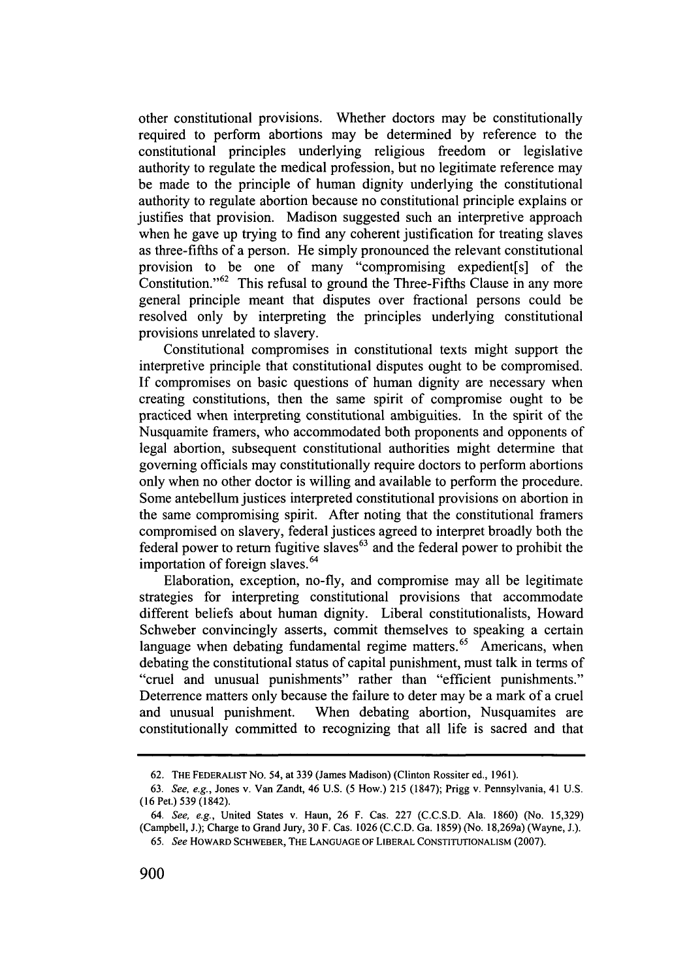other constitutional provisions. Whether doctors may be constitutionally required to perform abortions may be determined **by** reference to the constitutional principles underlying religious freedom or legislative authority to regulate the medical profession, but no legitimate reference may be made to the principle of human dignity underlying the constitutional authority to regulate abortion because no constitutional principle explains or justifies that provision. Madison suggested such an interpretive approach when he gave up trying to find any coherent justification for treating slaves as three-fifths of a person. He simply pronounced the relevant constitutional provision to be one of many "compromising expedient[s] of the Constitution." $62$  This refusal to ground the Three-Fifths Clause in any more general principle meant that disputes over fractional persons could be resolved only **by** interpreting the principles underlying constitutional provisions unrelated to slavery.

Constitutional compromises in constitutional texts might support the interpretive principle that constitutional disputes ought to be compromised. **If** compromises on basic questions of human dignity are necessary when creating constitutions, then the same spirit of compromise ought to be practiced when interpreting constitutional ambiguities. In the spirit of the Nusquamite framers, who accommodated both proponents and opponents of legal abortion, subsequent constitutional authorities might determine that governing officials may constitutionally require doctors to perform abortions only when no other doctor is willing and available to perform the procedure. Some antebellum justices interpreted constitutional provisions on abortion in the same compromising spirit. After noting that the constitutional framers compromised on slavery, federal justices agreed to interpret broadly both the federal power to return fugitive slaves $63$  and the federal power to prohibit the importation of foreign slaves.<sup>64</sup>

Elaboration, exception, no-fly, and compromise may all be legitimate strategies for interpreting constitutional provisions that accommodate different beliefs about human dignity. Liberal constitutionalists, Howard Schweber convincingly asserts, commit themselves to speaking a certain language when debating fundamental regime matters.<sup>65</sup> Americans, when debating the constitutional status of capital punishment, must talk in terms of "cruel and unusual punishments" rather than "efficient punishments." Deterrence matters only because the failure to deter may be a mark of a cruel and unusual punishment. When debating abortion, Nusquamites are constitutionally committed to recognizing that all life is sacred and that

**<sup>62.</sup> THE FEDERALIST NO.** 54, at **339** (James Madison) (Clinton Rossiter ed., **1961).**

*<sup>63.</sup>* See, e.g., Jones v. Van Zandt, 46 **U.S. (5** How.) **215 (1847);** Prigg v. Pennsylvania, 41 **U.S. (16** Pet.) **539** (1842).

*<sup>64.</sup>* See, e.g., United States v. Haun, **26** F. Cas. **227 (C.C.S.D.** Ala. **1860)** (No. **15,329)** (Campbell, **J.);** Charge to Grand Jury, **30** F. Cas. **1026 (C.C.D.** Ga. **1859)** (No. 18,269a) (Wayne, **J.).**

*<sup>65.</sup>* See **HOWARD SCHWEBER, THE LANGUAGE OF LIBERAL CONSTITUTIONALISM (2007).**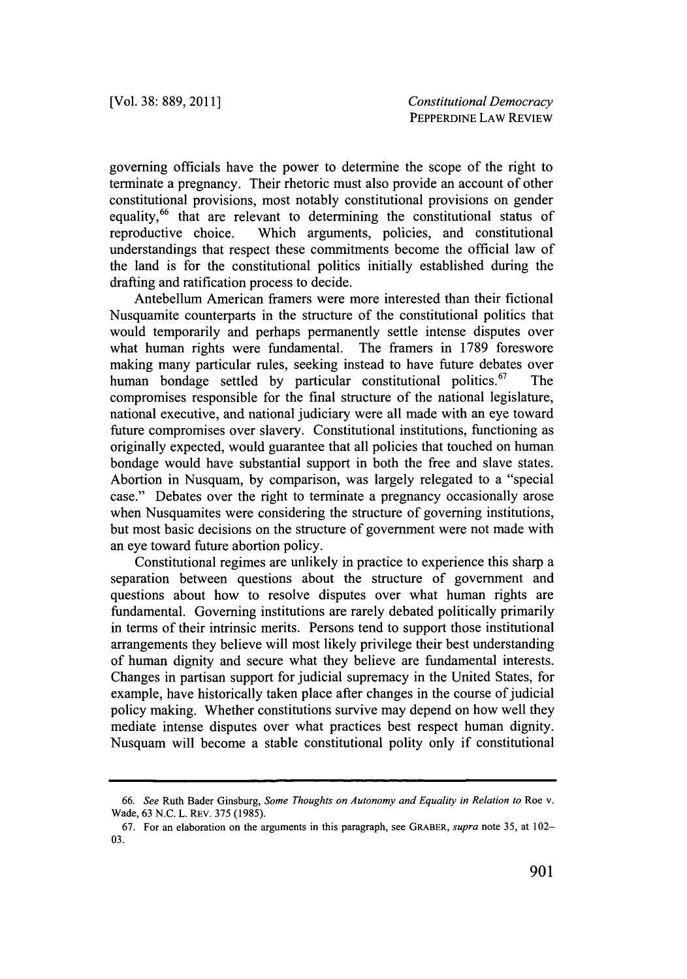governing officials have the power to determine the scope of the right to terminate a pregnancy. Their rhetoric must also provide an account of other constitutional provisions, most notably constitutional provisions on gender equality,<sup>66</sup> that are relevant to determining the constitutional status of reproductive choice. Which arguments, policies, and constitutional understandings that respect these commitments become the official law of the land is for the constitutional politics initially established during the drafting and ratification process to decide.

Antebellum American framers were more interested than their fictional Nusquamite counterparts in the structure of the constitutional politics that would temporarily and perhaps permanently settle intense disputes over what human rights were fundamental. The framers in **1789** foreswore making many particular rules, seeking instead to have future debates over human bondage settled by particular constitutional politics.<sup>67</sup> The compromises responsible for the final structure of the national legislature, national executive, and national judiciary were all made with an eye toward future compromises over slavery. Constitutional institutions, functioning as originally expected, would guarantee that all policies that touched on human bondage would have substantial support in both the free and slave states. Abortion in Nusquam, **by** comparison, was largely relegated to a "special case." Debates over the right to terminate a pregnancy occasionally arose when Nusquamites were considering the structure of governing institutions, but most basic decisions on the structure of government were not made with an eye toward future abortion policy.

Constitutional regimes are unlikely in practice to experience this sharp a separation between questions about the structure of government and questions about how to resolve disputes over what human rights are fundamental. Governing institutions are rarely debated politically primarily in terms of their intrinsic merits. Persons tend to support those institutional arrangements they believe will most likely privilege their best understanding of human dignity and secure what they believe are fundamental interests. Changes in partisan support for judicial supremacy in the United States, for example, have historically taken place after changes in the course of judicial policy making. Whether constitutions survive may depend on how well they mediate intense disputes over what practices best respect human dignity. Nusquam will become a stable constitutional polity only if constitutional

*<sup>66.</sup> See* Ruth Bader Ginsburg, *Some Thoughts on Autonomy and Equality in Relation to* Roe v. Wade, **63 N.C.** L. REV. **375 (1985).**

**<sup>67.</sup>** For an elaboration on the arguments in this paragraph, see **GRABER,** *supra* note **35,** at 102- **03.**